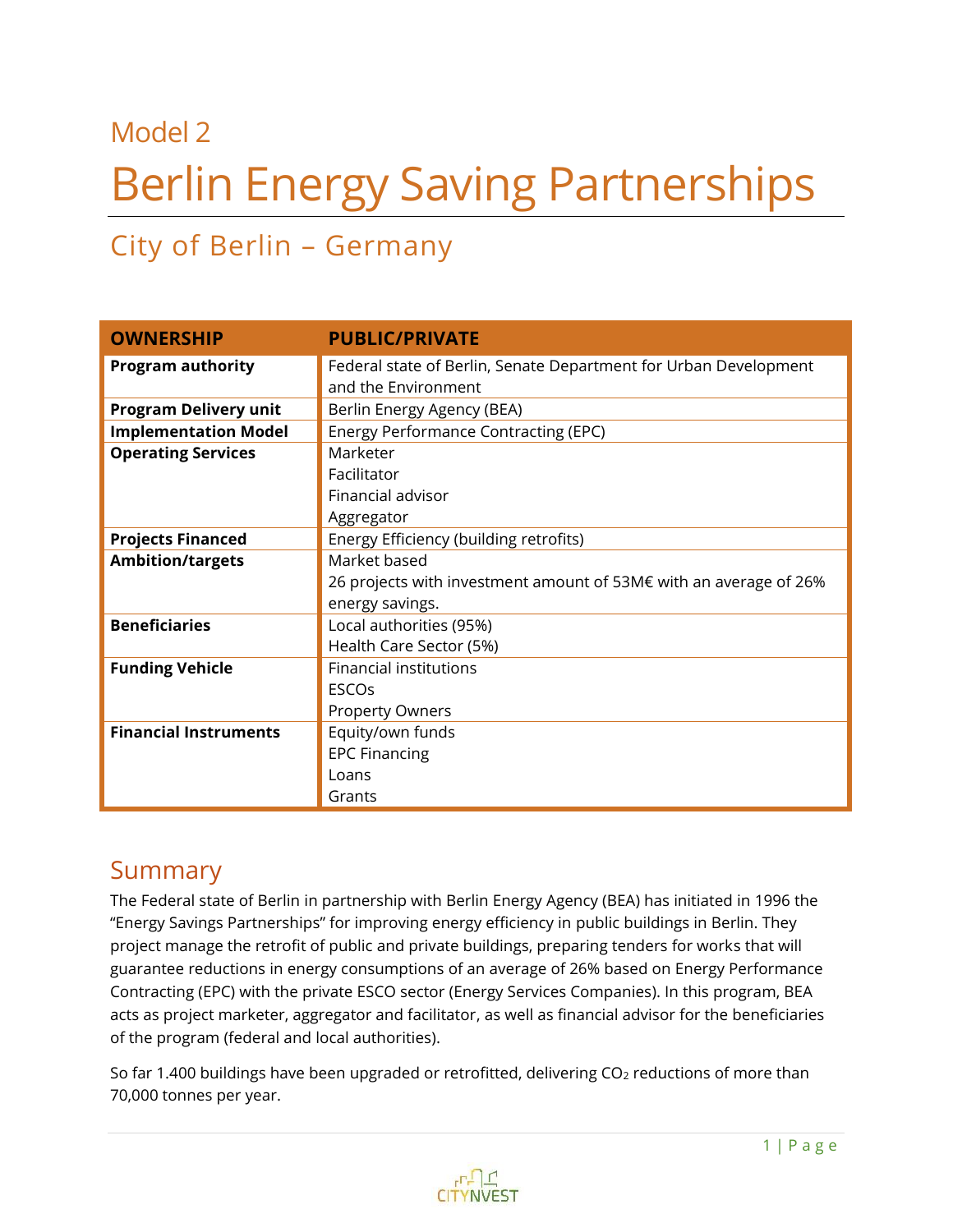# Model 2 Berlin Energy Saving Partnerships

# City of Berlin – Germany

| <b>OWNERSHIP</b>             | <b>PUBLIC/PRIVATE</b>                                                                   |  |
|------------------------------|-----------------------------------------------------------------------------------------|--|
| <b>Program authority</b>     | Federal state of Berlin, Senate Department for Urban Development<br>and the Environment |  |
| <b>Program Delivery unit</b> | Berlin Energy Agency (BEA)                                                              |  |
| <b>Implementation Model</b>  | <b>Energy Performance Contracting (EPC)</b>                                             |  |
| <b>Operating Services</b>    | Marketer                                                                                |  |
|                              | Facilitator                                                                             |  |
|                              | Financial advisor                                                                       |  |
|                              | Aggregator                                                                              |  |
| <b>Projects Financed</b>     | Energy Efficiency (building retrofits)                                                  |  |
| <b>Ambition/targets</b>      | Market based                                                                            |  |
|                              | 26 projects with investment amount of 53M€ with an average of 26%                       |  |
|                              | energy savings.                                                                         |  |
| <b>Beneficiaries</b>         | Local authorities (95%)                                                                 |  |
|                              | Health Care Sector (5%)                                                                 |  |
| <b>Funding Vehicle</b>       | <b>Financial institutions</b>                                                           |  |
|                              | <b>ESCOS</b>                                                                            |  |
|                              | <b>Property Owners</b>                                                                  |  |
| <b>Financial Instruments</b> | Equity/own funds                                                                        |  |
|                              | <b>EPC Financing</b>                                                                    |  |
|                              | Loans                                                                                   |  |
|                              | Grants                                                                                  |  |

### Summary

The Federal state of Berlin in partnership with Berlin Energy Agency (BEA) has initiated in 1996 the "Energy Savings Partnerships" for improving energy efficiency in public buildings in Berlin. They project manage the retrofit of public and private buildings, preparing tenders for works that will guarantee reductions in energy consumptions of an average of 26% based on Energy Performance Contracting (EPC) with the private ESCO sector (Energy Services Companies). In this program, BEA acts as project marketer, aggregator and facilitator, as well as financial advisor for the beneficiaries of the program (federal and local authorities).

So far 1.400 buildings have been upgraded or retrofitted, delivering  $CO<sub>2</sub>$  reductions of more than 70,000 tonnes per year.

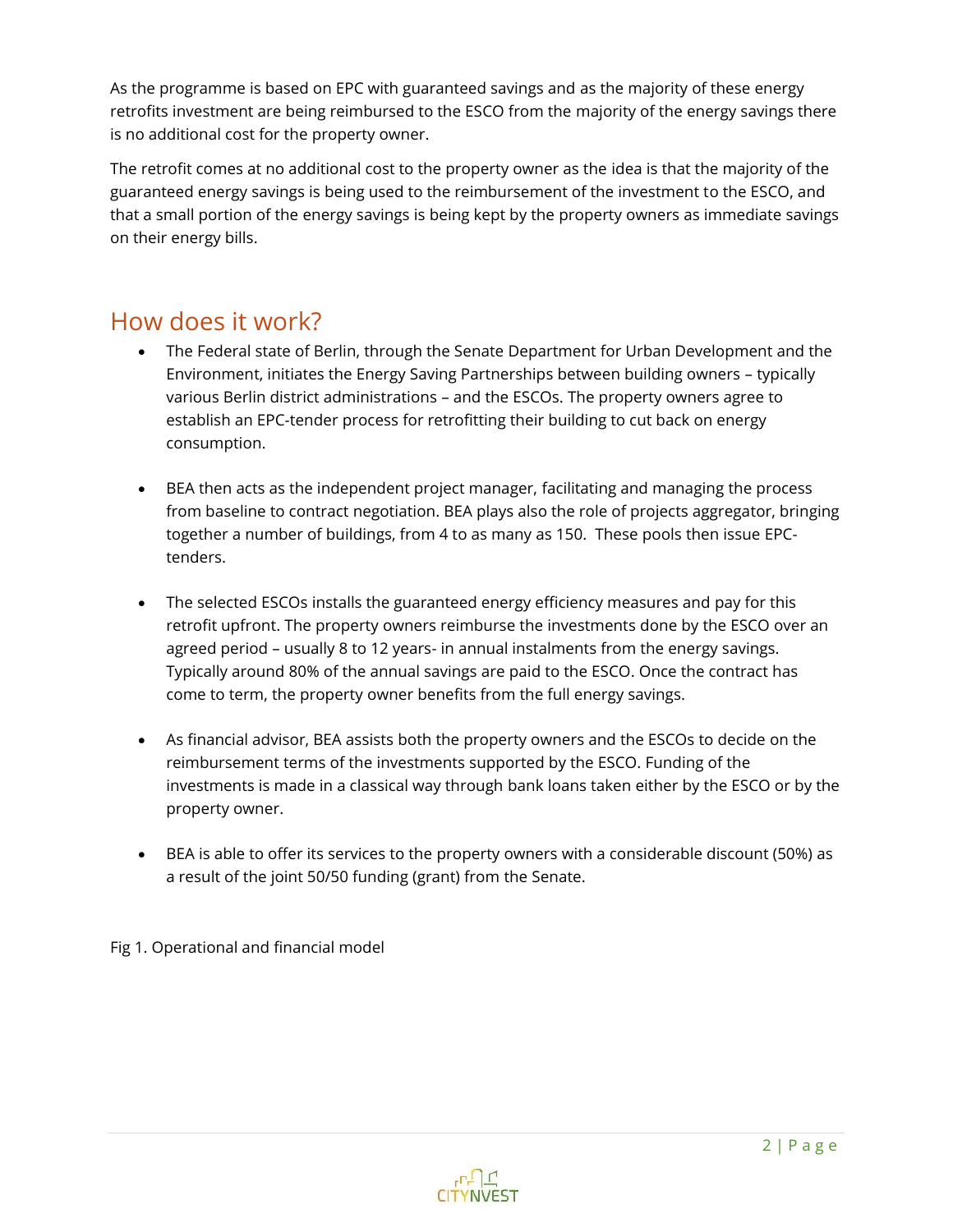As the programme is based on EPC with guaranteed savings and as the majority of these energy retrofits investment are being reimbursed to the ESCO from the majority of the energy savings there is no additional cost for the property owner.

The retrofit comes at no additional cost to the property owner as the idea is that the majority of the guaranteed energy savings is being used to the reimbursement of the investment to the ESCO, and that a small portion of the energy savings is being kept by the property owners as immediate savings on their energy bills.

# How does it work?

- The Federal state of Berlin, through the Senate Department for Urban Development and the Environment, initiates the Energy Saving Partnerships between building owners – typically various Berlin district administrations – and the ESCOs. The property owners agree to establish an EPC-tender process for retrofitting their building to cut back on energy consumption.
- BEA then acts as the independent project manager, facilitating and managing the process from baseline to contract negotiation. BEA plays also the role of projects aggregator, bringing together a number of buildings, from 4 to as many as 150. These pools then issue EPCtenders.
- The selected ESCOs installs the guaranteed energy efficiency measures and pay for this retrofit upfront. The property owners reimburse the investments done by the ESCO over an agreed period – usually 8 to 12 years- in annual instalments from the energy savings. Typically around 80% of the annual savings are paid to the ESCO. Once the contract has come to term, the property owner benefits from the full energy savings.
- As financial advisor, BEA assists both the property owners and the ESCOs to decide on the reimbursement terms of the investments supported by the ESCO. Funding of the investments is made in a classical way through bank loans taken either by the ESCO or by the property owner.
- BEA is able to offer its services to the property owners with a considerable discount (50%) as a result of the joint 50/50 funding (grant) from the Senate.

Fig 1. Operational and financial model

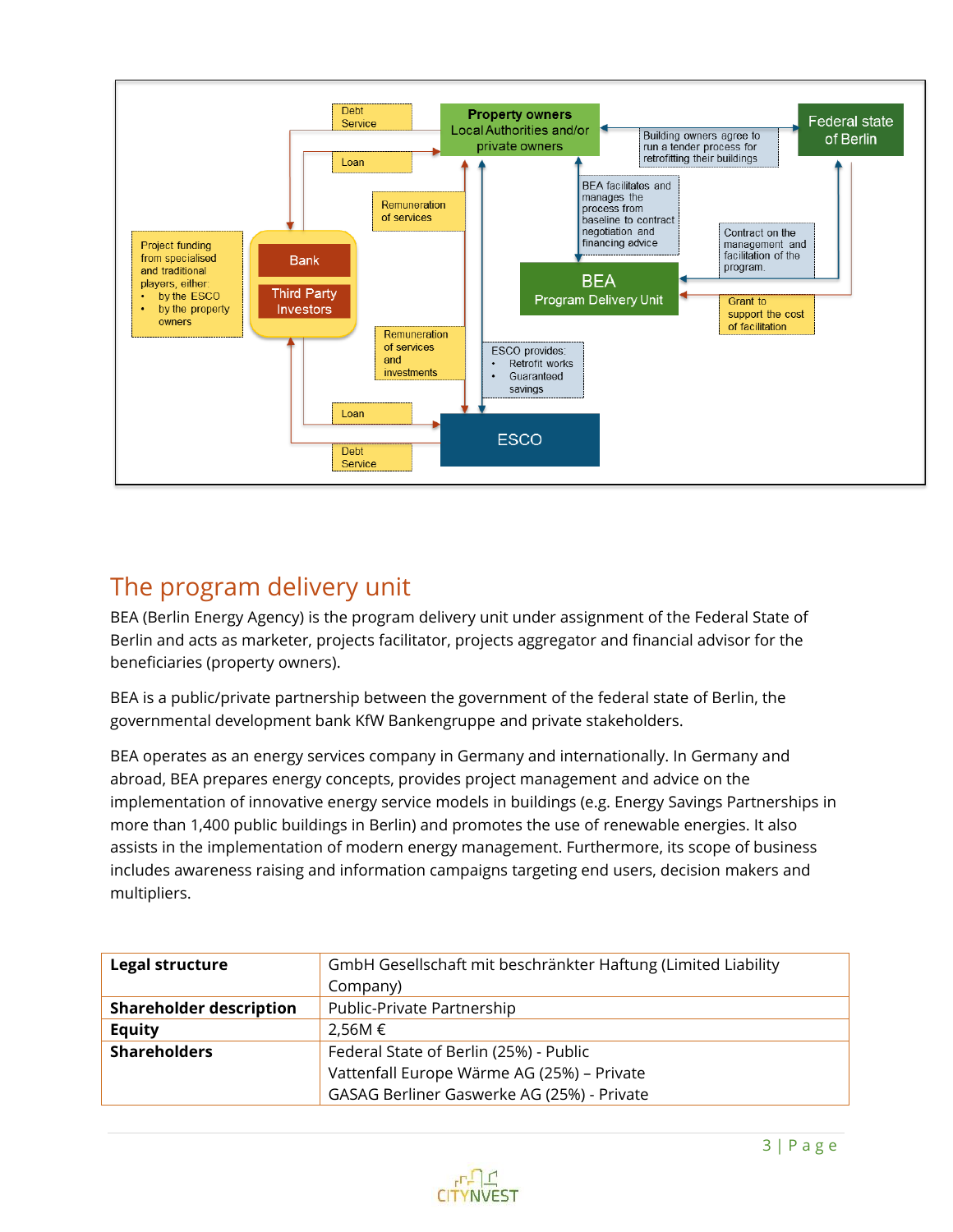

# The program delivery unit

BEA (Berlin Energy Agency) is the program delivery unit under assignment of the Federal State of Berlin and acts as marketer, projects facilitator, projects aggregator and financial advisor for the beneficiaries (property owners).

BEA is a public/private partnership between the government of the federal state of Berlin, the governmental development bank KfW Bankengruppe and private stakeholders.

BEA operates as an energy services company in Germany and internationally. In Germany and abroad, BEA prepares energy concepts, provides project management and advice on the implementation of innovative energy service models in buildings (e.g. Energy Savings Partnerships in more than 1,400 public buildings in Berlin) and promotes the use of renewable energies. It also assists in the implementation of modern energy management. Furthermore, its scope of business includes awareness raising and information campaigns targeting end users, decision makers and multipliers.

| <b>Legal structure</b>         | GmbH Gesellschaft mit beschränkter Haftung (Limited Liability<br>Company) |
|--------------------------------|---------------------------------------------------------------------------|
| <b>Shareholder description</b> | Public-Private Partnership                                                |
| <b>Equity</b>                  | 2.56M €                                                                   |
| <b>Shareholders</b>            | Federal State of Berlin (25%) - Public                                    |
|                                | Vattenfall Europe Wärme AG (25%) - Private                                |
|                                | GASAG Berliner Gaswerke AG (25%) - Private                                |

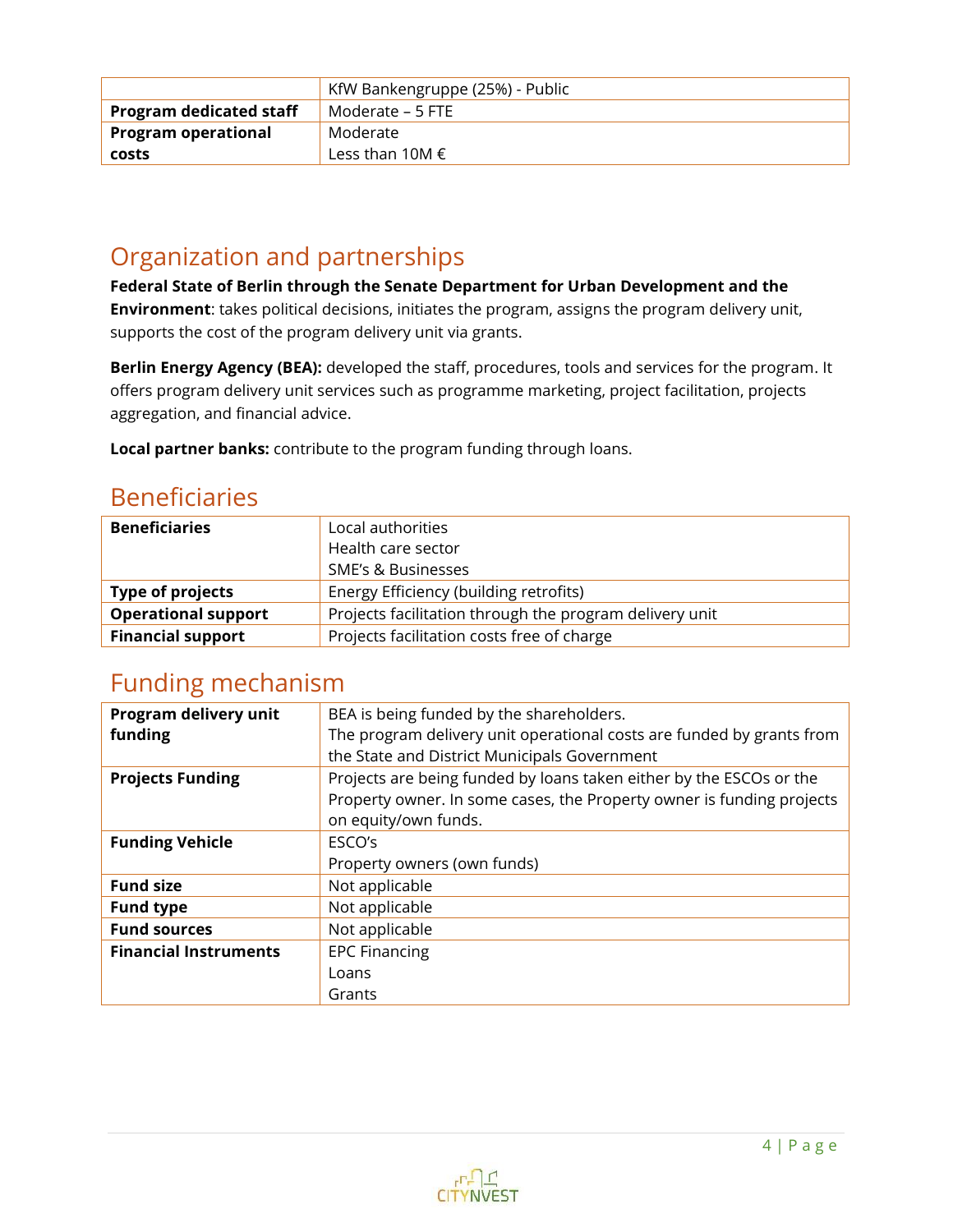|                                | KfW Bankengruppe (25%) - Public |  |
|--------------------------------|---------------------------------|--|
| <b>Program dedicated staff</b> | Moderate – 5 FTE                |  |
| <b>Program operational</b>     | Moderate                        |  |
| costs                          | Less than 10M $\epsilon$        |  |

# Organization and partnerships

**Federal State of Berlin through the Senate Department for Urban Development and the Environment**: takes political decisions, initiates the program, assigns the program delivery unit, supports the cost of the program delivery unit via grants.

**Berlin Energy Agency (BEA):** developed the staff, procedures, tools and services for the program. It offers program delivery unit services such as programme marketing, project facilitation, projects aggregation, and financial advice.

**Local partner banks:** contribute to the program funding through loans.

# Beneficiaries

| <b>Beneficiaries</b>       | Local authorities                                       |
|----------------------------|---------------------------------------------------------|
|                            | Health care sector                                      |
|                            | <b>SME's &amp; Businesses</b>                           |
| Type of projects           | Energy Efficiency (building retrofits)                  |
| <b>Operational support</b> | Projects facilitation through the program delivery unit |
| <b>Financial support</b>   | Projects facilitation costs free of charge              |

### Funding mechanism

| Program delivery unit        | BEA is being funded by the shareholders.                              |  |
|------------------------------|-----------------------------------------------------------------------|--|
| funding                      | The program delivery unit operational costs are funded by grants from |  |
|                              | the State and District Municipals Government                          |  |
| <b>Projects Funding</b>      | Projects are being funded by loans taken either by the ESCOs or the   |  |
|                              | Property owner. In some cases, the Property owner is funding projects |  |
|                              | on equity/own funds.                                                  |  |
| <b>Funding Vehicle</b>       | ESCO's                                                                |  |
|                              | Property owners (own funds)                                           |  |
| <b>Fund size</b>             | Not applicable                                                        |  |
| <b>Fund type</b>             | Not applicable                                                        |  |
| <b>Fund sources</b>          | Not applicable                                                        |  |
| <b>Financial Instruments</b> | <b>EPC Financing</b>                                                  |  |
|                              | Loans                                                                 |  |
|                              | Grants                                                                |  |

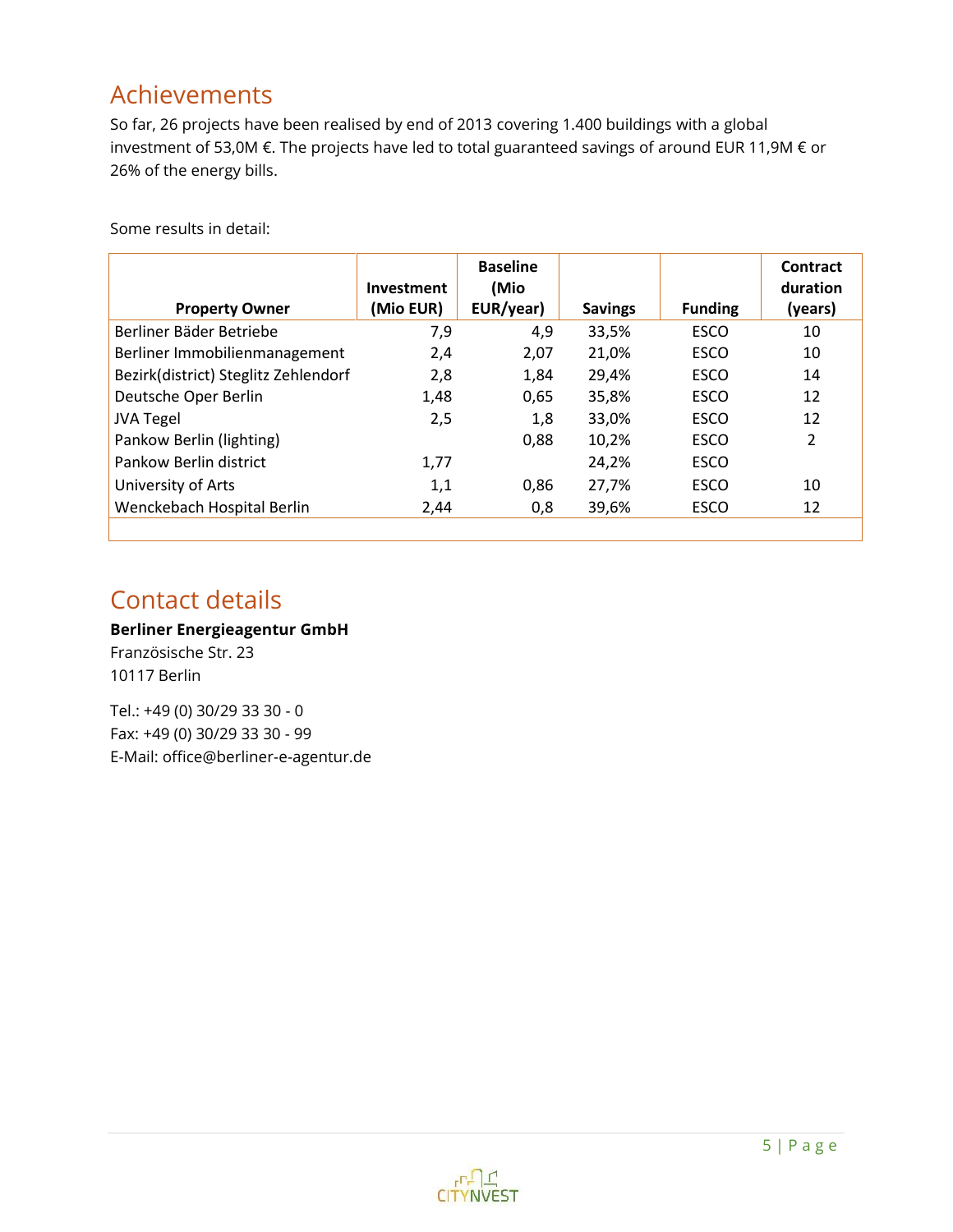# Achievements

So far, 26 projects have been realised by end of 2013 covering 1.400 buildings with a global investment of 53,0M €. The projects have led to total guaranteed savings of around EUR 11,9M € or 26% of the energy bills.

|                                      | <b>Investment</b> | <b>Baseline</b><br>(Mio |                |                | Contract<br>duration |
|--------------------------------------|-------------------|-------------------------|----------------|----------------|----------------------|
| <b>Property Owner</b>                | (Mio EUR)         | EUR/year)               | <b>Savings</b> | <b>Funding</b> | (years)              |
| Berliner Bäder Betriebe              | 7,9               | 4,9                     | 33,5%          | <b>ESCO</b>    | 10                   |
| Berliner Immobilienmanagement        | 2,4               | 2,07                    | 21,0%          | <b>ESCO</b>    | 10                   |
| Bezirk(district) Steglitz Zehlendorf | 2,8               | 1,84                    | 29,4%          | <b>ESCO</b>    | 14                   |
| Deutsche Oper Berlin                 | 1,48              | 0,65                    | 35,8%          | <b>ESCO</b>    | 12                   |
| <b>JVA Tegel</b>                     | 2,5               | 1,8                     | 33,0%          | <b>ESCO</b>    | 12                   |
| Pankow Berlin (lighting)             |                   | 0.88                    | 10,2%          | <b>ESCO</b>    | $\overline{2}$       |
| Pankow Berlin district               | 1,77              |                         | 24,2%          | <b>ESCO</b>    |                      |
| University of Arts                   | 1,1               | 0.86                    | 27,7%          | <b>ESCO</b>    | 10                   |
| Wenckebach Hospital Berlin           | 2,44              | 0.8                     | 39,6%          | <b>ESCO</b>    | 12                   |
|                                      |                   |                         |                |                |                      |

Some results in detail:

# Contact details

### **Berliner Energieagentur GmbH**

Französische Str. 23 10117 Berlin

Tel.: +49 (0) 30/29 33 30 - 0 Fax: +49 (0) 30/29 33 30 - 99 E-Mail: [office@berliner-e-agentur.de](mailto:office@berliner-e-agentur.de)

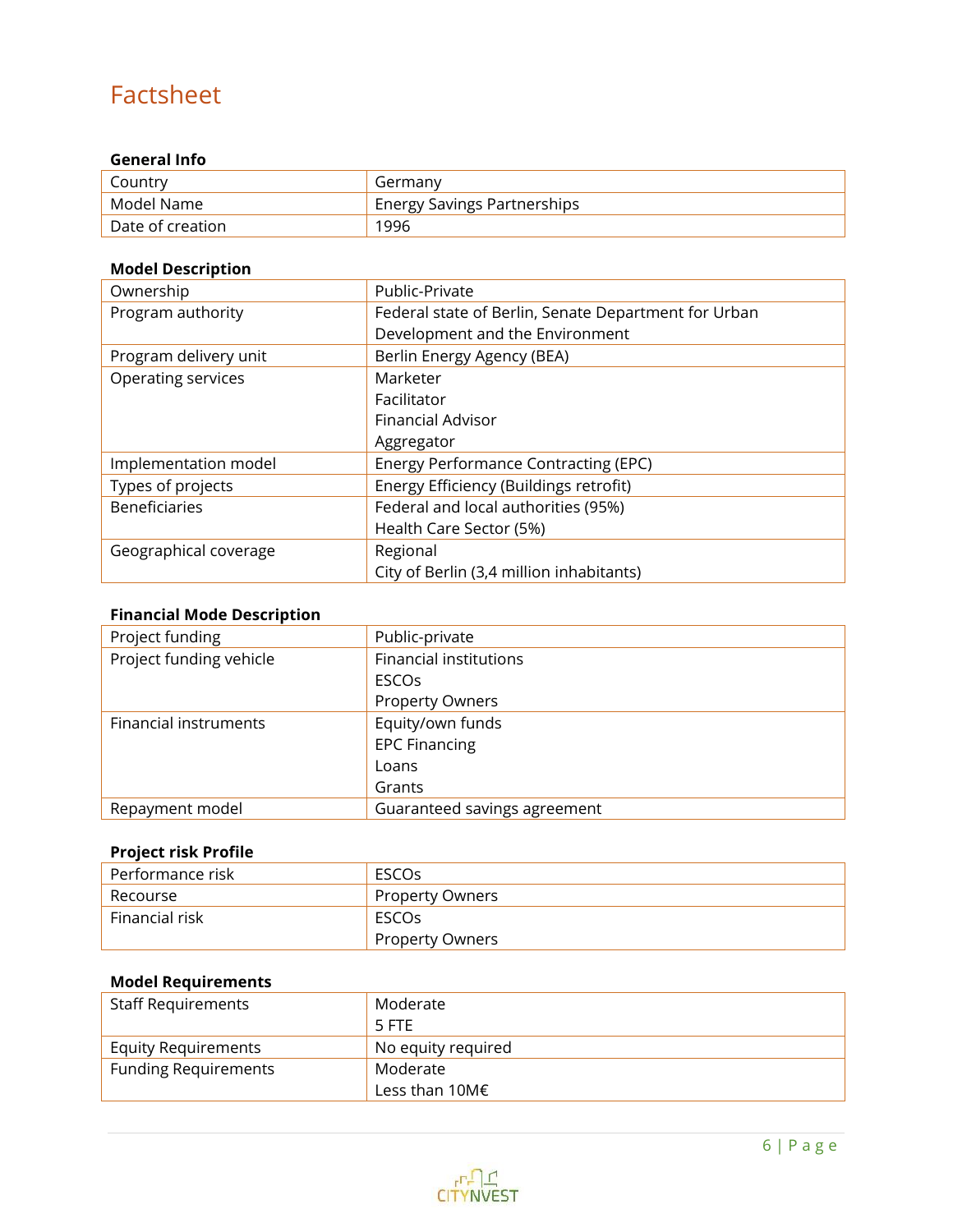# Factsheet

### **General Info**

| Country          | Germany                            |
|------------------|------------------------------------|
| Model Name       | <b>Energy Savings Partnerships</b> |
| Date of creation | 1996                               |

### **Model Description**

| Ownership             | Public-Private                                       |  |
|-----------------------|------------------------------------------------------|--|
| Program authority     | Federal state of Berlin, Senate Department for Urban |  |
|                       | Development and the Environment                      |  |
| Program delivery unit | Berlin Energy Agency (BEA)                           |  |
| Operating services    | Marketer                                             |  |
|                       | Facilitator                                          |  |
|                       | <b>Financial Advisor</b>                             |  |
|                       | Aggregator                                           |  |
| Implementation model  | Energy Performance Contracting (EPC)                 |  |
| Types of projects     | Energy Efficiency (Buildings retrofit)               |  |
| <b>Beneficiaries</b>  | Federal and local authorities (95%)                  |  |
|                       | Health Care Sector (5%)                              |  |
| Geographical coverage | Regional                                             |  |
|                       | City of Berlin (3,4 million inhabitants)             |  |

### **Financial Mode Description**

| Project funding         | Public-private                |
|-------------------------|-------------------------------|
| Project funding vehicle | <b>Financial institutions</b> |
|                         | <b>ESCOs</b>                  |
|                         | <b>Property Owners</b>        |
| Financial instruments   | Equity/own funds              |
|                         | <b>EPC Financing</b>          |
|                         | Loans                         |
|                         | Grants                        |
| Repayment model         | Guaranteed savings agreement  |

### **Project risk Profile**

| Performance risk | ESCOS                  |
|------------------|------------------------|
| Recourse         | <b>Property Owners</b> |
| l Financial risk | ESCOS                  |
|                  | <b>Property Owners</b> |

### **Model Requirements**

| <b>Staff Requirements</b>   | Moderate           |
|-----------------------------|--------------------|
|                             | 5 FTE              |
| <b>Equity Requirements</b>  | No equity required |
| <b>Funding Requirements</b> | Moderate           |
|                             | Less than 10M€     |

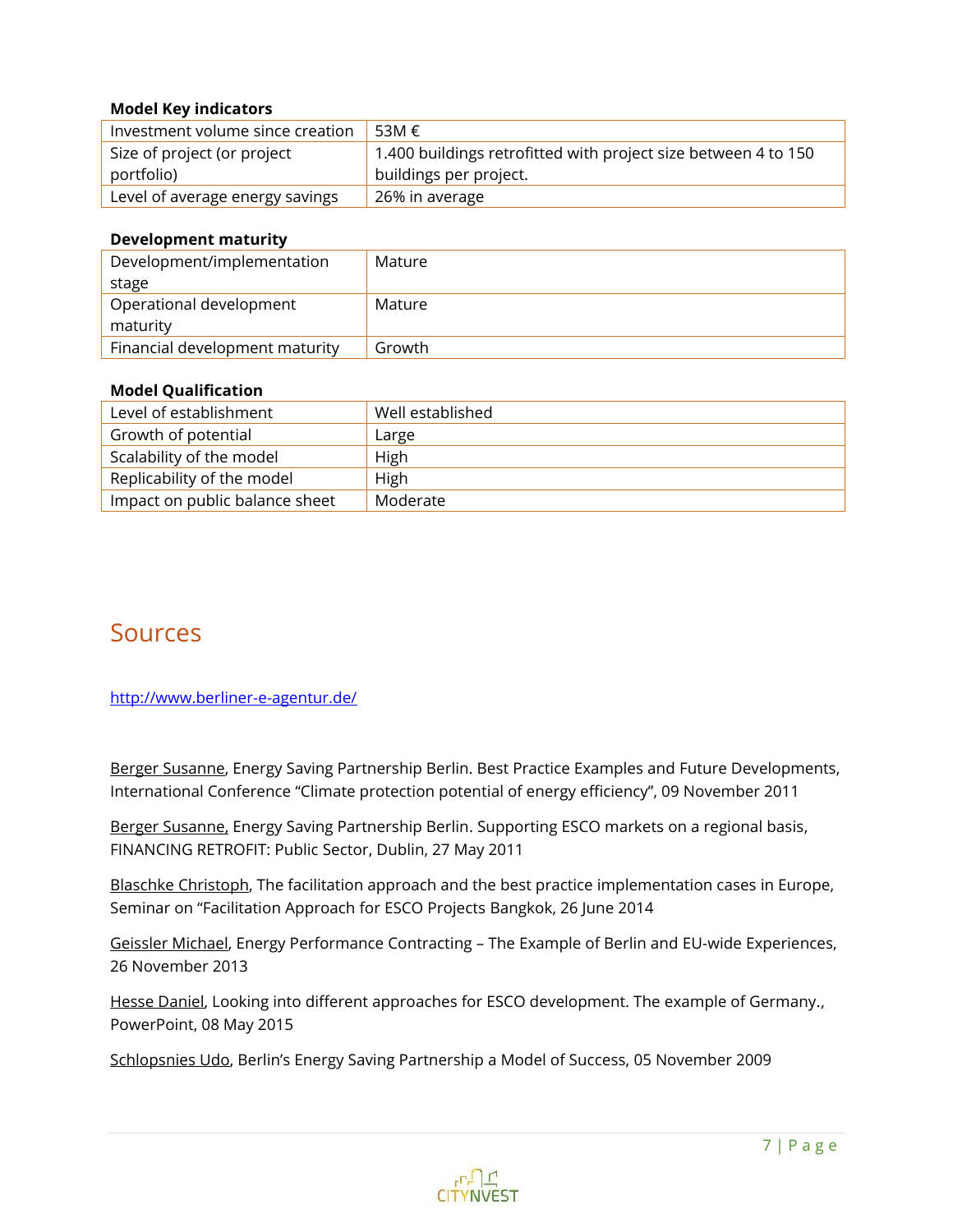### **Model Key indicators**

| Investment volume since creation | 53M €                                                          |
|----------------------------------|----------------------------------------------------------------|
| Size of project (or project      | 1.400 buildings retrofitted with project size between 4 to 150 |
| portfolio)                       | buildings per project.                                         |
| Level of average energy savings  | 26% in average                                                 |

#### **Development maturity**

| Development/implementation     | Mature |
|--------------------------------|--------|
| stage                          |        |
| Operational development        | Mature |
| maturity                       |        |
| Financial development maturity | Growth |

#### **Model Qualification**

| Level of establishment         | Well established |
|--------------------------------|------------------|
| Growth of potential            | Large            |
| Scalability of the model       | High             |
| Replicability of the model     | High             |
| Impact on public balance sheet | Moderate         |

### Sources

<http://www.berliner-e-agentur.de/>

Berger Susanne, Energy Saving Partnership Berlin. Best Practice Examples and Future Developments, International Conference "Climate protection potential of energy efficiency", 09 November 2011

Berger Susanne, Energy Saving Partnership Berlin. Supporting ESCO markets on a regional basis, FINANCING RETROFIT: Public Sector, Dublin, 27 May 2011

Blaschke Christoph, The facilitation approach and the best practice implementation cases in Europe, Seminar on "Facilitation Approach for ESCO Projects Bangkok, 26 June 2014

Geissler Michael, Energy Performance Contracting – The Example of Berlin and EU-wide Experiences, 26 November 2013

Hesse Daniel, Looking into different approaches for ESCO development. The example of Germany., PowerPoint, 08 May 2015

Schlopsnies Udo, Berlin's Energy Saving Partnership a Model of Success, 05 November 2009